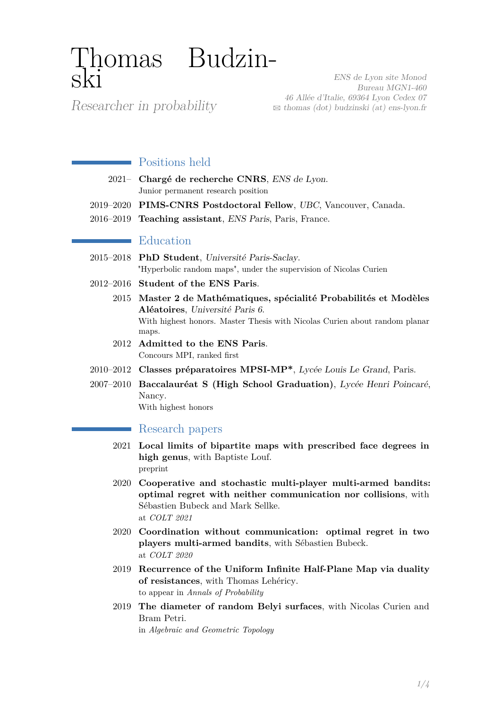# Thomas Budzinski

Researcher in probability

ENS de Lyon site Monod Bureau MGN1-460 46 Allée d'Italie, 69364 Lyon Cedex 07  $\boxtimes$  [thomas \(dot\) budzinski \(at\) ens-lyon.fr](mailto:thomas (dot) budzinski (at) ens-lyon.fr)

## **Positions** held

- 2021– **Chargé de recherche CNRS**, ENS de Lyon. Junior permanent research position
- 2019–2020 **PIMS-CNRS Postdoctoral Fellow**, UBC, Vancouver, Canada.
- 2016–2019 **Teaching assistant**, ENS Paris, Paris, France.

## **E**ducation

- 2015–2018 **PhD Student**, Université Paris-Saclay. "Hyperbolic random maps", under the supervision of Nicolas Curien
- 2012–2016 **Student of the ENS Paris**.
	- 2015 **Master 2 de Mathématiques, spécialité Probabilités et Modèles Aléatoires**, Université Paris 6. With highest honors. Master Thesis with Nicolas Curien about random planar maps.
	- 2012 **Admitted to the ENS Paris**. Concours MPI, ranked first
- 2010–2012 **Classes préparatoires MPSI-MP\***, Lycée Louis Le Grand, Paris.
- 2007–2010 **Baccalauréat S (High School Graduation)**, Lycée Henri Poincaré, Nancy.

With highest honors

## Research papers

- 2021 **Local limits of bipartite maps with prescribed face degrees in high genus**, with Baptiste Louf. preprint
- 2020 **Cooperative and stochastic multi-player multi-armed bandits: optimal regret with neither communication nor collisions**, with Sébastien Bubeck and Mark Sellke. at *COLT 2021*
- 2020 **Coordination without communication: optimal regret in two players multi-armed bandits**, with Sébastien Bubeck. at *COLT 2020*
- 2019 **Recurrence of the Uniform Infinite Half-Plane Map via duality of resistances**, with Thomas Lehéricy. to appear in *Annals of Probability*
- 2019 **The diameter of random Belyi surfaces**, with Nicolas Curien and Bram Petri.

in *Algebraic and Geometric Topology*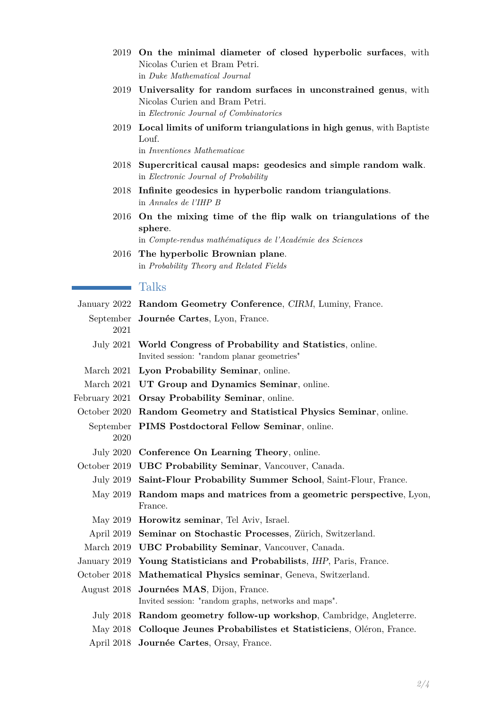- 2019 **On the minimal diameter of closed hyperbolic surfaces**, with Nicolas Curien et Bram Petri. in *Duke Mathematical Journal*
- 2019 **Universality for random surfaces in unconstrained genus**, with Nicolas Curien and Bram Petri. in *Electronic Journal of Combinatorics*
- 2019 **Local limits of uniform triangulations in high genus**, with Baptiste Louf. in *Inventiones Mathematicae*
- 2018 **Supercritical causal maps: geodesics and simple random walk**. in *Electronic Journal of Probability*
- 2018 **Infinite geodesics in hyperbolic random triangulations**. in *Annales de l'IHP B*
- 2016 **On the mixing time of the flip walk on triangulations of the sphere**.

in *Compte-rendus mathématiques de l'Académie des Sciences*

2016 **The hyperbolic Brownian plane**. in *Probability Theory and Related Fields*

#### **Talks**

|                  | January 2022 Random Geometry Conference, CIRM, Luminy, France.           |
|------------------|--------------------------------------------------------------------------|
|                  | September Journée Cartes, Lyon, France.                                  |
| 2021             |                                                                          |
|                  | July 2021 World Congress of Probability and Statistics, online.          |
|                  | Invited session: "random planar geometries"                              |
|                  | March 2021 Lyon Probability Seminar, online.                             |
|                  | March 2021 UT Group and Dynamics Seminar, online.                        |
| February 2021    | Orsay Probability Seminar, online.                                       |
| October 2020     | Random Geometry and Statistical Physics Seminar, online.                 |
| September        | PIMS Postdoctoral Fellow Seminar, online.                                |
| 2020             |                                                                          |
| <b>July 2020</b> | Conference On Learning Theory, online.                                   |
| October 2019     | <b>UBC Probability Seminar, Vancouver, Canada.</b>                       |
| July 2019        | Saint-Flour Probability Summer School, Saint-Flour, France.              |
| May 2019         | Random maps and matrices from a geometric perspective, Lyon,             |
|                  | France.                                                                  |
|                  | May 2019 <b>Horowitz seminar</b> , Tel Aviv, Israel.                     |
| April 2019       | Seminar on Stochastic Processes, Zürich, Switzerland.                    |
|                  | March 2019 UBC Probability Seminar, Vancouver, Canada.                   |
|                  | January 2019 Young Statisticians and Probabilists, IHP, Paris, France.   |
| October 2018     | Mathematical Physics seminar, Geneva, Switzerland.                       |
| August 2018      | Journées MAS, Dijon, France.                                             |
|                  | Invited session: "random graphs, networks and maps".                     |
|                  | July 2018 Random geometry follow-up workshop, Cambridge, Angleterre.     |
|                  | May 2018 Colloque Jeunes Probabilistes et Statisticiens, Oléron, France. |
| April 2018       | Journée Cartes, Orsay, France.                                           |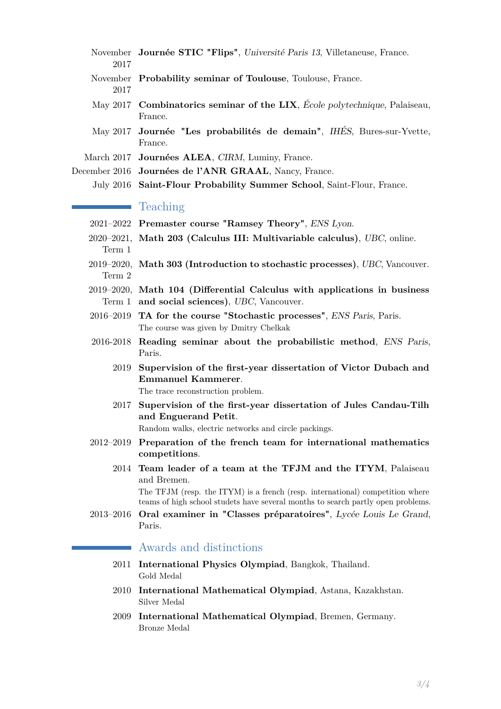| 2017 | November Journée STIC "Flips", Université Paris 13, Villetaneuse, France.             |
|------|---------------------------------------------------------------------------------------|
| 2017 | November Probability seminar of Toulouse, Toulouse, France.                           |
|      | May 2017 Combinatorics seminar of the LIX, École polytechnique, Palaiseau,<br>France. |
|      | May 2017 Journée "Les probabilités de demain", IHÉS, Bures-sur-Yvette,<br>France.     |
|      | March 2017 Journées ALEA, CIRM, Luminy, France.                                       |
|      | December 2016 Journées de l'ANR GRAAL, Nancy, France.                                 |
|      | July 2016 Saint-Flour Probability Summer School, Saint-Flour, France.                 |

### **T**eaching

- 2021–2022 **Premaster course "Ramsey Theory"**, ENS Lyon.
- 2020–2021, **Math 203 (Calculus III: Multivariable calculus)**, UBC, online. Term 1
- 2019–2020, **Math 303 (Introduction to stochastic processes)**, UBC, Vancouver. Term 2
- 2019–2020, **Math 104 (Differential Calculus with applications in business** Term 1 **and social sciences)**, UBC, Vancouver.
- 2016–2019 **TA for the course "Stochastic processes"**, ENS Paris, Paris. The course was given by Dmitry Chelkak
- 2016-2018 **Reading seminar about the probabilistic method**, ENS Paris, Paris.
	- 2019 **Supervision of the first-year dissertation of Victor Dubach and Emmanuel Kammerer**. The trace reconstruction problem.
	- 2017 **Supervision of the first-year dissertation of Jules Candau-Tilh and Enguerand Petit**.

Random walks, electric networks and circle packings.

- 2012–2019 **Preparation of the french team for international mathematics competitions**.
	- 2014 **Team leader of a team at the TFJM and the ITYM**, Palaiseau and Bremen.

The TFJM (resp. the ITYM) is a french (resp. international) competition where teams of high school studets have several months to search partly open problems.

2013–2016 **Oral examiner in "Classes préparatoires"**, Lycée Louis Le Grand, Paris.

#### Awards and distinctions

- 2011 **International Physics Olympiad**, Bangkok, Thailand. Gold Medal
- 2010 **International Mathematical Olympiad**, Astana, Kazakhstan. Silver Medal
- <span id="page-2-0"></span>2009 **International Mathematical Olympiad**, Bremen, Germany. Bronze Medal